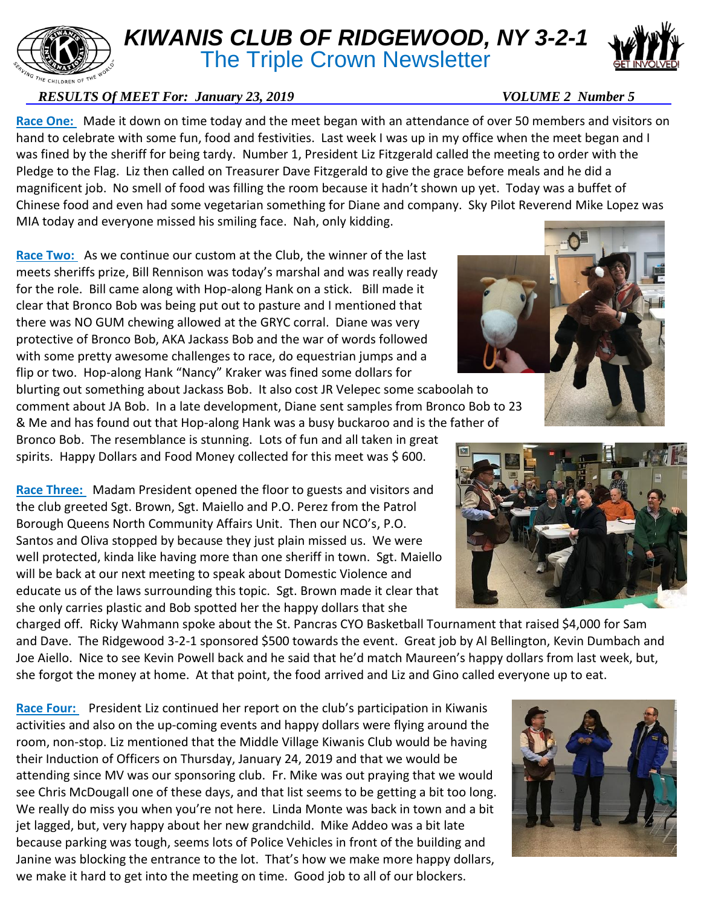## *KIWANIS CLUB OF RIDGEWOOD, NY 3-2-1*

**The Triple Crown Newsletter** 

## *RESULTS Of MEET For: January 23, 2019* VOLUME 2 Number 5

**Race One:** Made it down on time today and the meet began with an attendance of over 50 members and visitors on hand to celebrate with some fun, food and festivities. Last week I was up in my office when the meet began and I was fined by the sheriff for being tardy. Number 1, President Liz Fitzgerald called the meeting to order with the Pledge to the Flag. Liz then called on Treasurer Dave Fitzgerald to give the grace before meals and he did a magnificent job. No smell of food was filling the room because it hadn't shown up yet. Today was a buffet of Chinese food and even had some vegetarian something for Diane and company. Sky Pilot Reverend Mike Lopez was MIA today and everyone missed his smiling face. Nah, only kidding.

**Race Two:** As we continue our custom at the Club, the winner of the last meets sheriffs prize, Bill Rennison was today's marshal and was really ready for the role. Bill came along with Hop-along Hank on a stick. Bill made it clear that Bronco Bob was being put out to pasture and I mentioned that there was NO GUM chewing allowed at the GRYC corral. Diane was very protective of Bronco Bob, AKA Jackass Bob and the war of words followed with some pretty awesome challenges to race, do equestrian jumps and a flip or two. Hop-along Hank "Nancy" Kraker was fined some dollars for

blurting out something about Jackass Bob. It also cost JR Velepec some scaboolah to comment about JA Bob. In a late development, Diane sent samples from Bronco Bob to 23 & Me and has found out that Hop-along Hank was a busy buckaroo and is the father of

Bronco Bob. The resemblance is stunning. Lots of fun and all taken in great spirits. Happy Dollars and Food Money collected for this meet was \$ 600.

Race Three: Madam President opened the floor to guests and visitors and the club greeted Sgt. Brown, Sgt. Maiello and P.O. Perez from the Patrol Borough Queens North Community Affairs Unit. Then our NCO's, P.O. Santos and Oliva stopped by because they just plain missed us. We were well protected, kinda like having more than one sheriff in town. Sgt. Maiello will be back at our next meeting to speak about Domestic Violence and educate us of the laws surrounding this topic. Sgt. Brown made it clear that she only carries plastic and Bob spotted her the happy dollars that she

charged off. Ricky Wahmann spoke about the St. Pancras CYO Basketball Tournament that raised \$4,000 for Sam and Dave. The Ridgewood 3-2-1 sponsored \$500 towards the event. Great job by Al Bellington, Kevin Dumbach and Joe Aiello. Nice to see Kevin Powell back and he said that he'd match Maureen's happy dollars from last week, but, she forgot the money at home. At that point, the food arrived and Liz and Gino called everyone up to eat.

**Race Four:** President Liz continued her report on the club's participation in Kiwanis activities and also on the up-coming events and happy dollars were flying around the room, non-stop. Liz mentioned that the Middle Village Kiwanis Club would be having their Induction of Officers on Thursday, January 24, 2019 and that we would be attending since MV was our sponsoring club. Fr. Mike was out praying that we would see Chris McDougall one of these days, and that list seems to be getting a bit too long. We really do miss you when you're not here. Linda Monte was back in town and a bit jet lagged, but, very happy about her new grandchild. Mike Addeo was a bit late because parking was tough, seems lots of Police Vehicles in front of the building and Janine was blocking the entrance to the lot. That's how we make more happy dollars, we make it hard to get into the meeting on time. Good job to all of our blockers.